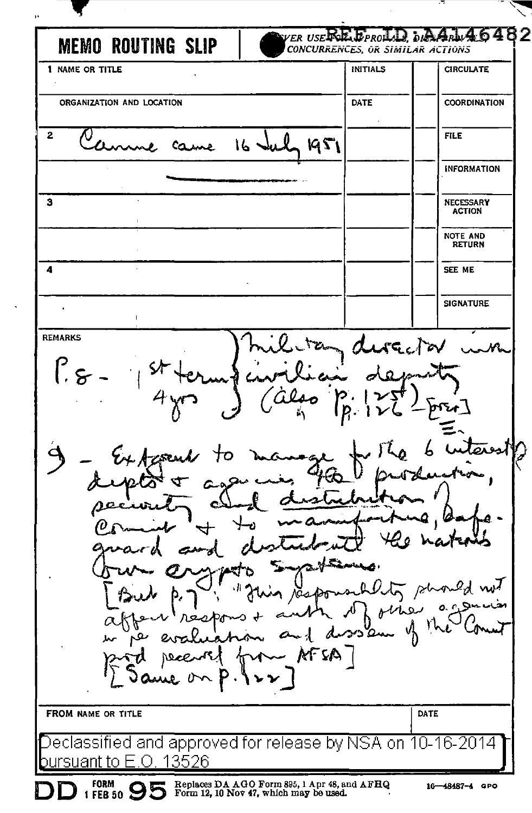VER USE KE EPROL 6 82  $5/6$ **MEMO ROUTING SLIP** CONCURRENCES, OR SIMILAR ACTIONS 1 NAME OR TITLE INITIALS **CIRCULATE** ORGANIZATION AND LOCATION DATE **COORDINATION**  $\overline{2}$ **FILE** U 0  $16 -$ 1951 Came **INFORMATION**  $\overline{\mathbf{3}}$ **NECESSARY ACTION** NOTE AND **RETURN**  $\overline{a}$ SEE ME **SIGNATURE**  $\overline{1}$ **REMARKS AGCTOV**  $\int$ المعدما d بملا othe مفرديه a. Øле  $\kappa$ FSA $\top$ FROM NAME OR TITLE DATE ed and approved for release by NSA on 1 2014 U-13526 iant to Fi  $\Box$ Replaces DA AGO Form 895, 1 Apr 48, and AFHQ<br>Form 12, 10 Nov 47, which may be used. **FORM**  $1$  FEB 50  $95$ 16-48487-4 GPO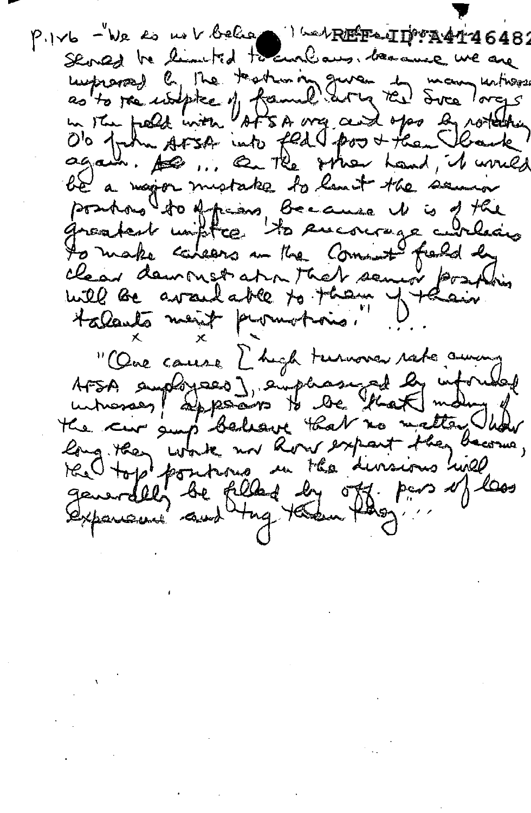$P.1$  $Vb - Wc$  for mold below  $\bullet$  in the Fertius  $4146482$ Stored be limited to curlians. because we are Luprares) by the teatron of gure to many untiverse be a najor mistake to lant the senior positions to African Because it is of the to make calears an the Commit field by "One cause L'high turnova rate auxing AFSA amployees], emphasized by informed the cir sup believe that no matter had the Hop positions in the divisions hill generally be filled by off pas of loss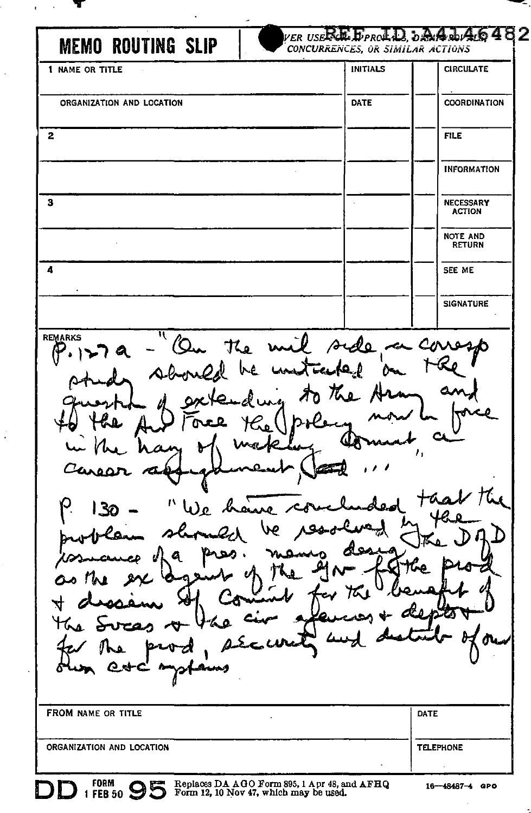| <b>MEMO ROUTING SLIP</b>                                                       | VER USERE EPROLL, DAALDAG<br>CONCURRENCES, OR SIMILAR ACTIONS |                                  |
|--------------------------------------------------------------------------------|---------------------------------------------------------------|----------------------------------|
| 1 NAME OR TITLE                                                                | <b>INITIALS</b>                                               | <b>CIRCULATE</b>                 |
| ORGANIZATION AND LOCATION                                                      | DATE                                                          | <b>COORDINATION</b>              |
| $\mathbf{2}$                                                                   |                                                               | <b>FILE</b>                      |
|                                                                                |                                                               | <b>INFORMATION</b>               |
| 3                                                                              |                                                               | NECESSARY<br><b>ACTION</b>       |
|                                                                                |                                                               | <b>NOTE AND</b><br><b>RETURN</b> |
| 4                                                                              |                                                               | SEE ME                           |
|                                                                                |                                                               | <b>SIGNATURE</b>                 |
| P. 127 a - 'On the mil side on corresponding the land of the<br><b>REMARKS</b> |                                                               |                                  |

Tree Y Co fhe りょし ¢۹ made Ιv an 74 Carear "We have. <u>| 30</u> ve  $m$ led sh  $_{\text{pos}}$  . a Ú ͳ ୍ୟ **s**  $\overline{\mathbf{r}}$ ∡≿ত منّع tas. مە مص <u>ika</u> A Q FROM NAME OR TITLE DATE

ORGANIZATION AND LOCATION

FORM BEB 50 SUBDARD FORM 895, 1 Apr 48, and AFHQ 1 FEB 50 SUBDARD FORM 12, 10 Nov 47, which may be used.

2

TELEPHONE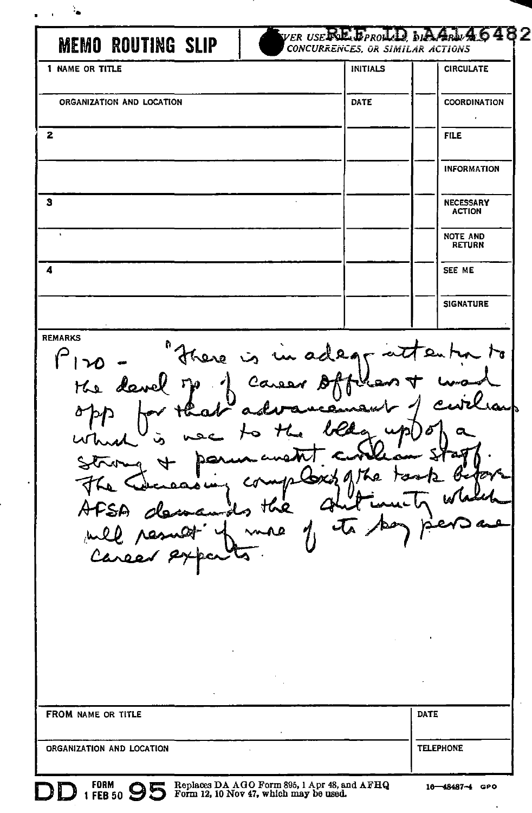| <b>MEMO ROUTING SLIP</b>               | $_{\it VER}$ $_{\it USE}$ RE $_{\it FRO}$ LD, $_{\it b}$ AA $_{\it A}$ LA $_{\it A}$ G $_{\it A}$ B $_{\it C}$<br>CONCURRENCES, OR SIMILAR ACTIONS |                                  |
|----------------------------------------|----------------------------------------------------------------------------------------------------------------------------------------------------|----------------------------------|
| 1 NAME OR TITLE                        | <b>INITIALS</b>                                                                                                                                    | <b>CIRCULATE</b>                 |
| ORGANIZATION AND LOCATION              | DATE                                                                                                                                               | <b>COORDINATION</b>              |
| 2                                      |                                                                                                                                                    | <b>FILE</b>                      |
|                                        |                                                                                                                                                    | <b>INFORMATION</b>               |
| з                                      |                                                                                                                                                    | NECESSARY<br><b>ACTION</b>       |
| $\ddot{\phantom{0}}$                   |                                                                                                                                                    | <b>NOTE AND</b><br><b>RETURN</b> |
| 4                                      |                                                                                                                                                    | SEE ME                           |
|                                        |                                                                                                                                                    | <b>SIGNATURE</b>                 |
| $\tau$ hang $\tau$<br>W                | U                                                                                                                                                  | 5                                |
| Lρ<br>, the<br>A<br>PSA<br>will result | ه پيون<br>انمز جاسه                                                                                                                                |                                  |
|                                        |                                                                                                                                                    |                                  |
| FROM NAME OR TITLE                     |                                                                                                                                                    | <b>DATE</b>                      |

Replaces DA AOO Form 895, l Apr 48, and AFRQ Form 12, 10 Nov 47, which may be used.

16-48487-4 GPO

 $\ddot{\phantom{a}}$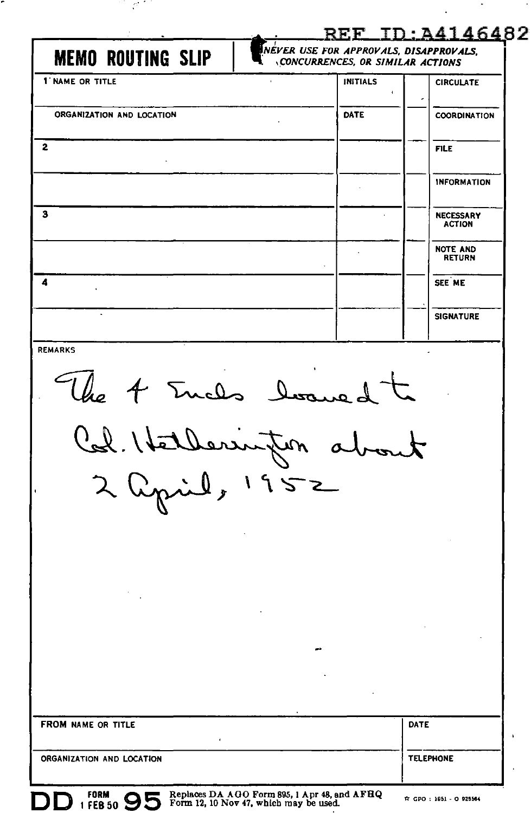| <b>MEMO ROUTING SLIP</b><br>1 NAME OR TITLE                                                                                                                                                                                                                                                                                                                                                         | CONCURRENCES, OR SIMILAR ACTIONS<br><b>INITIALS</b> | <b>CIRCULATE</b>                  |
|-----------------------------------------------------------------------------------------------------------------------------------------------------------------------------------------------------------------------------------------------------------------------------------------------------------------------------------------------------------------------------------------------------|-----------------------------------------------------|-----------------------------------|
|                                                                                                                                                                                                                                                                                                                                                                                                     |                                                     |                                   |
| ORGANIZATION AND LOCATION                                                                                                                                                                                                                                                                                                                                                                           | DATE                                                | <b>COORDINATION</b>               |
| $\mathbf{2}$                                                                                                                                                                                                                                                                                                                                                                                        |                                                     | <b>FILE</b>                       |
|                                                                                                                                                                                                                                                                                                                                                                                                     |                                                     | <b>INFORMATION</b>                |
| з                                                                                                                                                                                                                                                                                                                                                                                                   |                                                     | <b>NECESSARY</b><br><b>ACTION</b> |
|                                                                                                                                                                                                                                                                                                                                                                                                     |                                                     | <b>NOTE AND</b><br><b>RETURN</b>  |
| 4                                                                                                                                                                                                                                                                                                                                                                                                   |                                                     | SEE ME                            |
|                                                                                                                                                                                                                                                                                                                                                                                                     |                                                     | <b>SIGNATURE</b>                  |
| <b>REMARKS</b>                                                                                                                                                                                                                                                                                                                                                                                      |                                                     |                                   |
| The 4 Euchs los<br>$\begin{picture}(220,10) \put(0,0){\line(1,0){10}} \put(15,0){\line(1,0){10}} \put(15,0){\line(1,0){10}} \put(15,0){\line(1,0){10}} \put(15,0){\line(1,0){10}} \put(15,0){\line(1,0){10}} \put(15,0){\line(1,0){10}} \put(15,0){\line(1,0){10}} \put(15,0){\line(1,0){10}} \put(15,0){\line(1,0){10}} \put(15,0){\line(1,0){10}} \put(15,0){\line($<br>Aerrupon<br>2 april, 1952 | $\sim$                                              |                                   |
| FROM NAME OR TITLE                                                                                                                                                                                                                                                                                                                                                                                  |                                                     | DATE                              |

 $\sim$   $\star$ 

 $\ddot{\phantom{0}}$ 

i Ci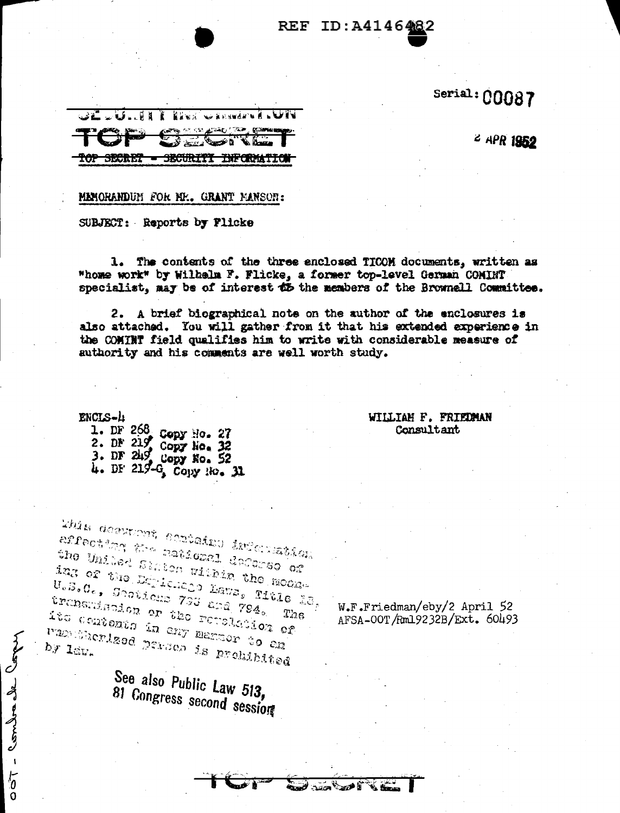## Serial: 00087

2 APR 1952

32 JULI **WARSHAPE & WIN** e di S TOP SECRET - SECURITI INFORMATION

## MEMORANDUM FOR MY.. GRANT MANSON:

SUBJECT: Reports by Flicke

1. The contents of the three enclosed TICOM documents, written as "home work" by Wilhelm F. Flicke, a former top-level German COMINT specialist, may be of interest d5 the members of the Brownell Committee.

REF ID:A414648

2. A brief biographical note on the author of the enclosures is also attached. You will gather from it that his extended experience in the COMINT field qualifies him to write with considerable measure of authority and his comments are well worth study.

**David Band** 

ENCLS-1

Comba de Cope

 $\overline{\mathbf{1}}$  $\sqrt{a}$ 

O

WILLIAM F. FRIEDMAN Consultant

1. DF 268 Copy No. 27<br>2. DF 219 Copy No. 32<br>3. DF 219 Copy No. 52 4. DF 219-G Copy No. 31

rbis deerteet eertaine internațien errecting the maticael defense or the Unided Sinten within the module ing of the Depichage Lava, Title 28,  $U_o \overline{S}_o G_e$ , Shoticas 733 and 794. transmishion or the remededion of its contexts in eny member to  $e_{\rm M}$  $T_{\rm \Omega S}$ masserized parses is prehibited by law.

W.F.Friedman/eby/2 April 52 AFSA-00T/Rm19232B/Ext. 60493

See also Public Law 513, 81 Congress second session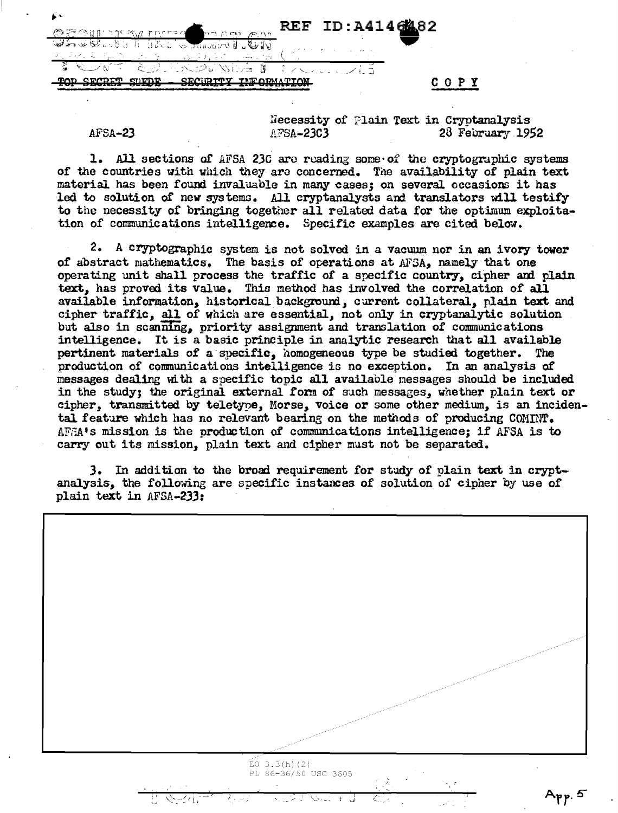$\begin{array}{c}\n\begin{array}{c}\n\text{R} \\
\text{R} \\
\text{R} \\
\end{array}\n\end{array}$  REF ID:A4146  $\mathcal{D}_\mathcal{F}$  ,  $\mathcal{L}_\mathcal{F}$  ,  $\mathcal{L}_\mathcal{F}$  ,  $\mathcal{L}_\mathcal{F}$  ,  $\mathcal{L}_\mathcal{F}$  ,  $\mathcal{L}_\mathcal{F}$  ,  $\mathcal{L}_\mathcal{F}$  ,  $\mathcal{L}_\mathcal{F}$ ~I >~~--> ~-0 ~ *--:* C\_: - *: )* - ' / '-.. TOP SECRET SUEDE - SECURITY INFORMATION COOPY

Necessity of Plain Text in Cryptanalysis<br>AFSA-23C3 28 February 199  $AFSA-23$   $AFSA-23C3$  28 February 1952

1. All sections of AFSA 230 are reading some of the cryptographic systems of the countries with which they are concerned. The availability of plain text material has been found invaluable in many cases; on several occasions it has led to solution of new systems. All cryptanalysts and translators will testify to the necessity of bringing together all related data for the optimum exploitation of communications intelligence. Specific examples are cited below.

2. A cryptographic system is not solved in a vacuum nor in an ivory tower of abstract mathematics~ The basis of operations at *AFSA,* namely that one operating unit shall process the traffic of a specific country, cipher and plain text, has proved its value. Thia method has involved the correlation of all available information, historical background, current collateral, plain text and cipher traffic, all of which are essential, not only in cryptanalytic solution but also in scanning, priority assignment and translation of communications intelligence. It is a basic principle in analytic research that all available pertinent materials of a·specific, homogeneous type be studied together. The production of communications intelligence is no exception. In an analysis of messages dealing with a specific topic all available messages should be included in the study; the original external form of such messages, whether plain text or cipher, transmitted by teletype, Morse, voice or some other medium, is an incidental feature which has no relevant bearing on the methods of producing COMINT. AF.SA•s mission is the production of conmnmications intelligence; if AFSA is to carry out its mission, plain text and cipher must not be separated.

J. In addition to the broad requirement for study or plain text in cryptanalysis., the following are specific instances of solution of cipher by use of plain text in  $AFSA-233$ :

 $EO$  3.3(h) (2) PL 86-36/50 USC 3605 Aթթ. 5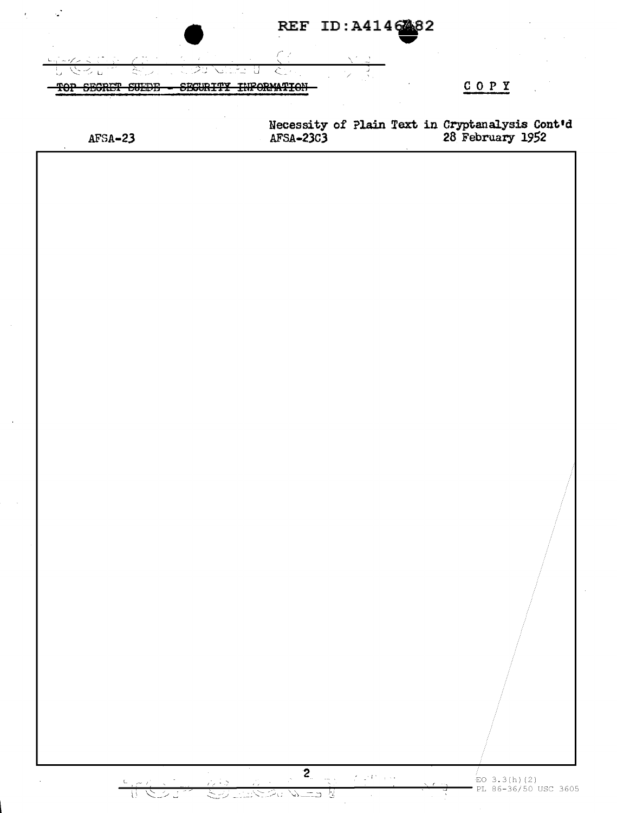|                |              |                 |                                                                                                                          | REF ID: A4146482                                                         |              |                                                                               |  |
|----------------|--------------|-----------------|--------------------------------------------------------------------------------------------------------------------------|--------------------------------------------------------------------------|--------------|-------------------------------------------------------------------------------|--|
|                |              |                 | $\mathcal{E}^{\ast}$ , $\mathcal{E}$                                                                                     |                                                                          |              |                                                                               |  |
| <del>TOP</del> | SEGRET SUEDB | <b>SEGURITY</b> | <b>INFORMATION</b>                                                                                                       |                                                                          |              | COPY                                                                          |  |
|                |              |                 |                                                                                                                          |                                                                          |              |                                                                               |  |
| $AFSA-23$      |              |                 |                                                                                                                          |                                                                          |              | Necessity of Plain Text in Cryptanalysis Cont'd<br>AFSA-23C3 28 February 1952 |  |
|                |              |                 |                                                                                                                          |                                                                          |              |                                                                               |  |
|                |              |                 |                                                                                                                          |                                                                          |              |                                                                               |  |
|                |              |                 |                                                                                                                          |                                                                          |              |                                                                               |  |
|                |              |                 |                                                                                                                          |                                                                          |              |                                                                               |  |
|                |              |                 |                                                                                                                          |                                                                          |              |                                                                               |  |
|                |              |                 |                                                                                                                          |                                                                          |              |                                                                               |  |
|                |              |                 |                                                                                                                          |                                                                          |              |                                                                               |  |
|                |              |                 |                                                                                                                          |                                                                          |              |                                                                               |  |
|                |              |                 |                                                                                                                          |                                                                          |              |                                                                               |  |
|                |              |                 |                                                                                                                          |                                                                          |              |                                                                               |  |
|                |              |                 |                                                                                                                          |                                                                          |              |                                                                               |  |
|                |              |                 |                                                                                                                          |                                                                          |              |                                                                               |  |
|                |              |                 |                                                                                                                          |                                                                          |              |                                                                               |  |
|                |              |                 |                                                                                                                          |                                                                          |              |                                                                               |  |
|                |              |                 |                                                                                                                          |                                                                          |              |                                                                               |  |
|                |              |                 |                                                                                                                          |                                                                          |              |                                                                               |  |
|                |              |                 |                                                                                                                          |                                                                          |              |                                                                               |  |
|                |              |                 |                                                                                                                          |                                                                          |              |                                                                               |  |
|                |              |                 |                                                                                                                          |                                                                          |              |                                                                               |  |
|                |              |                 |                                                                                                                          |                                                                          |              |                                                                               |  |
|                |              |                 |                                                                                                                          |                                                                          |              |                                                                               |  |
|                |              |                 |                                                                                                                          |                                                                          |              |                                                                               |  |
|                |              |                 |                                                                                                                          |                                                                          |              |                                                                               |  |
|                |              |                 |                                                                                                                          |                                                                          |              |                                                                               |  |
|                |              |                 |                                                                                                                          |                                                                          |              |                                                                               |  |
|                |              |                 |                                                                                                                          |                                                                          |              |                                                                               |  |
|                |              |                 |                                                                                                                          |                                                                          |              |                                                                               |  |
|                |              |                 |                                                                                                                          |                                                                          |              |                                                                               |  |
|                |              |                 |                                                                                                                          |                                                                          |              |                                                                               |  |
|                | $-1521$      |                 | $\begin{array}{ c c }\n\hline\n2 & & & \\ \hline\n-\hline\n\end{array}$<br>1993 - 1993 - 1994<br><u>Martin Carl Carl</u> | $\gamma^{\prime}_{\ell}=\gamma^{\prime}V^{\prime}$ , $\gamma\rightarrow$ | $\mathbf{r}$ | $EO$ 3.3(h)(2)                                                                |  |

 $\bar{z}$ 

 $\bar{a}$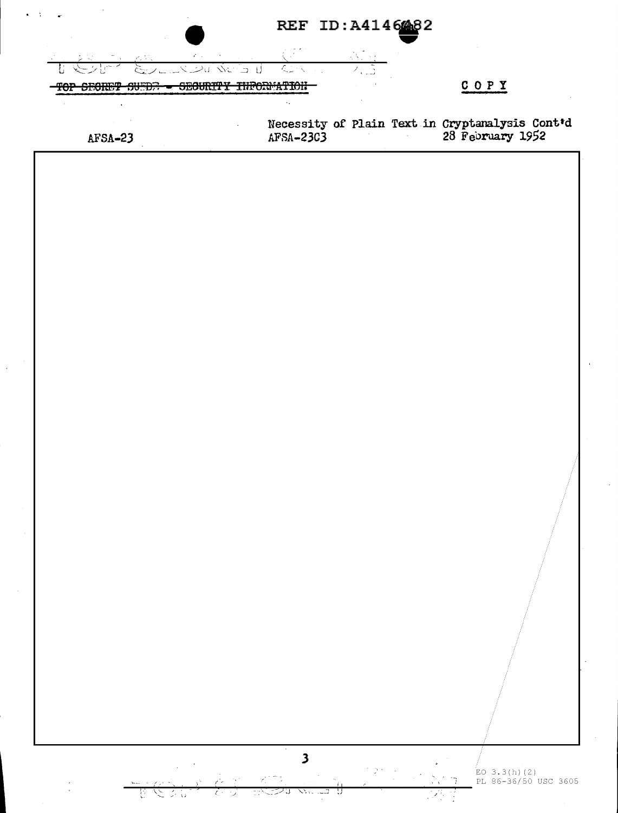